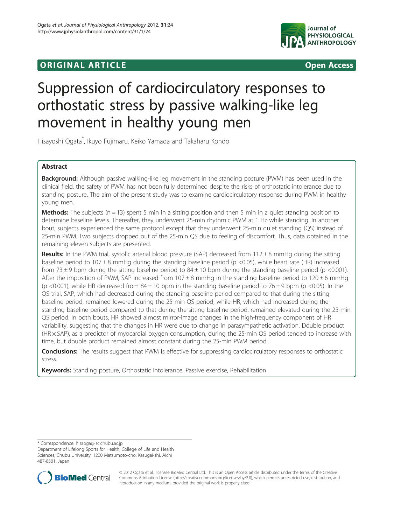# **ORIGINAL ARTICLE CONSUMING A LIGACION** CONSUMING A LIGACION CONSUMING A LIGACION CONSUMING A LIGACION CONSUMING A LIGACION CONSUMING A LIGACION CONSUMING A LIGACION CONSUMING A LIGACION CONSUMING A LIGACION CONSUMING A



# Suppression of cardiocirculatory responses to orthostatic stress by passive walking-like leg movement in healthy young men

Hisayoshi Ogata\* , Ikuyo Fujimaru, Keiko Yamada and Takaharu Kondo

# Abstract

Background: Although passive walking-like leg movement in the standing posture (PWM) has been used in the clinical field, the safety of PWM has not been fully determined despite the risks of orthostatic intolerance due to standing posture. The aim of the present study was to examine cardiocirculatory response during PWM in healthy young men.

**Methods:** The subjects ( $n = 13$ ) spent 5 min in a sitting position and then 5 min in a quiet standing position to determine baseline levels. Thereafter, they underwent 25-min rhythmic PWM at 1 Hz while standing. In another bout, subjects experienced the same protocol except that they underwent 25-min quiet standing (QS) instead of 25-min PWM. Two subjects dropped out of the 25-min QS due to feeling of discomfort. Thus, data obtained in the remaining eleven subjects are presented.

Results: In the PWM trial, systolic arterial blood pressure (SAP) decreased from  $112 \pm 8$  mmHg during the sitting baseline period to  $107 \pm 8$  mmHg during the standing baseline period (p <0.05), while heart rate (HR) increased from 73  $\pm$  9 bpm during the sitting baseline period to 84 $\pm$  10 bpm during the standing baseline period (p <0.001). After the imposition of PWM, SAP increased from  $107 \pm 8$  mmHg in the standing baseline period to  $120 \pm 6$  mmHg (p <0.001), while HR decreased from  $84 \pm 10$  bpm in the standing baseline period to  $76 \pm 9$  bpm (p <0.05). In the QS trial, SAP, which had decreased during the standing baseline period compared to that during the sitting baseline period, remained lowered during the 25-min QS period, while HR, which had increased during the standing baseline period compared to that during the sitting baseline period, remained elevated during the 25-min QS period. In both bouts, HR showed almost mirror-image changes in the high-frequency component of HR variability, suggesting that the changes in HR were due to change in parasympathetic activation. Double product (HR × SAP), as a predictor of myocardial oxygen consumption, during the 25-min QS period tended to increase with time, but double product remained almost constant during the 25-min PWM period.

**Conclusions:** The results suggest that PWM is effective for suppressing cardiocirculatory responses to orthostatic stress.

**Keywords:** Standing posture, Orthostatic intolerance, Passive exercise, Rehabilitation

\* Correspondence: [hisaoga@isc.chubu.ac.jp](mailto:hisaoga@isc.chubu.ac.jp)

Department of Lifelong Sports for Health, College of Life and Health Sciences, Chubu University, 1200 Matsumoto-cho, Kasugai-shi, Aichi 487-8501, Japan



© 2012 Ogata et al.; licensee BioMed Central Ltd. This is an Open Access article distributed under the terms of the Creative Commons Attribution License [\(http://creativecommons.org/licenses/by/2.0\)](http://creativecommons.org/licenses/by/2.0), which permits unrestricted use, distribution, and reproduction in any medium, provided the original work is properly cited.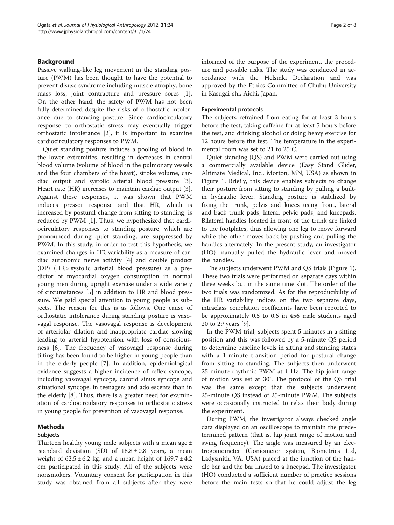# Background

Passive walking-like leg movement in the standing posture (PWM) has been thought to have the potential to prevent disuse syndrome including muscle atrophy, bone mass loss, joint contracture and pressure sores [\[1](#page-7-0)]. On the other hand, the safety of PWM has not been fully determined despite the risks of orthostatic intolerance due to standing posture. Since cardiocirculatory response to orthostatic stress may eventually trigger orthostatic intolerance [\[2](#page-7-0)], it is important to examine cardiocirculatory responses to PWM.

Quiet standing posture induces a pooling of blood in the lower extremities, resulting in decreases in central blood volume (volume of blood in the pulmonary vessels and the four chambers of the heart), stroke volume, cardiac output and systolic arterial blood pressure [\[3](#page-7-0)]. Heart rate (HR) increases to maintain cardiac output [\[3](#page-7-0)]. Against these responses, it was shown that PWM induces pressor response and that HR, which is increased by postural change from sitting to standing, is reduced by PWM [\[1](#page-7-0)]. Thus, we hypothesized that cardiocirculatory responses to standing posture, which are pronounced during quiet standing, are suppressed by PWM. In this study, in order to test this hypothesis, we examined changes in HR variability as a measure of cardiac autonomic nerve activity [\[4](#page-7-0)] and double product (DP) (HR × systolic arterial blood pressure) as a predictor of myocardial oxygen consumption in normal young men during upright exercise under a wide variety of circumstances [\[5](#page-7-0)] in addition to HR and blood pressure. We paid special attention to young people as subjects. The reason for this is as follows. One cause of orthostatic intolerance during standing posture is vasovagal response. The vasovagal response is development of arteriolar dilation and inappropriate cardiac slowing leading to arterial hypotension with loss of consciousness [[6](#page-7-0)]. The frequency of vasovagal response during tilting has been found to be higher in young people than in the elderly people [\[7\]](#page-7-0). In addition, epidemiological evidence suggests a higher incidence of reflex syncope, including vasovagal syncope, carotid sinus syncope and situational syncope, in teenagers and adolescents than in the elderly [\[8](#page-7-0)]. Thus, there is a greater need for examination of cardiocirculatory responses to orthostatic stress in young people for prevention of vasovagal response.

# Methods

### Subjects

Thirteen healthy young male subjects with a mean age  $\pm$ standard deviation (SD) of  $18.8 \pm 0.8$  years, a mean weight of  $62.5 \pm 6.2$  kg, and a mean height of  $169.7 \pm 4.2$ cm participated in this study. All of the subjects were nonsmokers. Voluntary consent for participation in this study was obtained from all subjects after they were informed of the purpose of the experiment, the procedure and possible risks. The study was conducted in accordance with the Helsinki Declaration and was approved by the Ethics Committee of Chubu University in Kasugai-shi, Aichi, Japan.

#### Experimental protocols

The subjects refrained from eating for at least 3 hours before the test, taking caffeine for at least 5 hours before the test, and drinking alcohol or doing heavy exercise for 12 hours before the test. The temperature in the experimental room was set to 21 to 25°C.

Quiet standing (QS) and PWM were carried out using a commercially available device (Easy Stand Glider, Altimate Medical, Inc., Morton, MN, USA) as shown in Figure [1](#page-2-0). Briefly, this device enables subjects to change their posture from sitting to standing by pulling a builtin hydraulic lever. Standing posture is stabilized by fixing the trunk, pelvis and knees using front, lateral and back trunk pads, lateral pelvic pads, and kneepads. Bilateral handles located in front of the trunk are linked to the footplates, thus allowing one leg to move forward while the other moves back by pushing and pulling the handles alternately. In the present study, an investigator (HO) manually pulled the hydraulic lever and moved the handles.

The subjects underwent PWM and QS trials (Figure [1](#page-2-0)). These two trials were performed on separate days within three weeks but in the same time slot. The order of the two trials was randomized. As for the reproducibility of the HR variability indices on the two separate days, intraclass correlation coefficients have been reported to be approximately 0.5 to 0.6 in 456 male students aged 20 to 29 years [\[9](#page-7-0)].

In the PWM trial, subjects spent 5 minutes in a sitting position and this was followed by a 5-minute QS period to determine baseline levels in sitting and standing states with a 1-minute transition period for postural change from sitting to standing. The subjects then underwent 25-minute rhythmic PWM at 1 Hz. The hip joint range of motion was set at 30°. The protocol of the QS trial was the same except that the subjects underwent 25-minute QS instead of 25-minute PWM. The subjects were occasionally instructed to relax their body during the experiment.

During PWM, the investigator always checked angle data displayed on an oscilloscope to maintain the predetermined pattern (that is, hip joint range of motion and swing frequency). The angle was measured by an electrogoniometer (Goniometer system, Biometrics Ltd, Ladysmith, VA, USA) placed at the junction of the handle bar and the bar linked to a kneepad. The investigator (HO) conducted a sufficient number of practice sessions before the main tests so that he could adjust the leg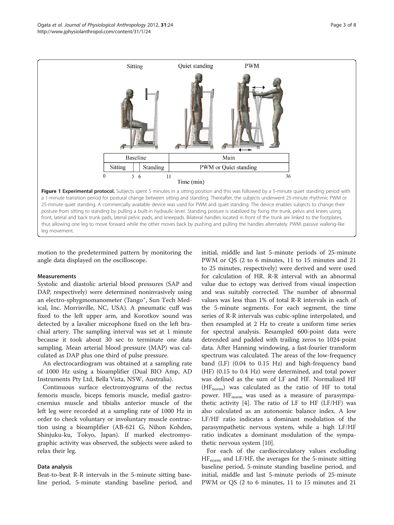<span id="page-2-0"></span>

motion to the predetermined pattern by monitoring the angle data displayed on the oscilloscope.

#### Measurements

Systolic and diastolic arterial blood pressures (SAP and DAP, respectively) were determined noninvasively using an electro-sphygmomanometer (Tango<sup>+</sup>, Sun Tech Medical, Inc. Morrisville, NC, USA). A pneumatic cuff was fixed to the left upper arm, and Korotkov sound was detected by a lavalier microphone fixed on the left brachial artery. The sampling interval was set at 1 minute because it took about 30 sec to terminate one data sampling. Mean arterial blood pressure (MAP) was calculated as DAP plus one third of pulse pressure.

An electrocardiogram was obtained at a sampling rate of 1000 Hz using a bioamplifier (Dual BIO Amp, AD Instruments Pty Ltd, Bella Vista, NSW, Australia).

Continuous surface electromyograms of the rectus femoris muscle, biceps femoris muscle, medial gastrocnemius muscle and tibialis anterior muscle of the left leg were recorded at a sampling rate of 1000 Hz in order to check voluntary or involuntary muscle contraction using a bioamplifier (AB-621 G, Nihon Kohden, Shinjuku-ku, Tokyo, Japan). If marked electromyographic activity was observed, the subjects were asked to relax their leg.

#### Data analysis

Beat-to-beat R-R intervals in the 5-minute sitting baseline period, 5-minute standing baseline period, and

initial, middle and last 5-minute periods of 25-minute PWM or QS (2 to 6 minutes, 11 to 15 minutes and 21 to 25 minutes, respectively) were derived and were used for calculation of HR. R-R interval with an abnormal value due to ectopy was derived from visual inspection and was suitably corrected. The number of abnormal values was less than 1% of total R-R intervals in each of the 5-minute segments. For each segment, the time series of R-R intervals was cubic-spline interpolated, and then resampled at 2 Hz to create a uniform time series for spectral analysis. Resampled 600-point data were detrended and padded with trailing zeros to 1024-point data. After Hanning windowing, a fast-fourier transform spectrum was calculated. The areas of the low-frequency band (LF) (0.04 to 0.15 Hz) and high-frequency band (HF) (0.15 to 0.4 Hz) were determined, and total power was defined as the sum of LF and HF. Normalized HF  $(HF_{\text{norm}})$  was calculated as the ratio of HF to total power.  $HF_{norm}$  was used as a measure of parasympathetic activity  $[4]$ . The ratio of LF to HF (LF/HF) was also calculated as an autonomic balance index. A low LF/HF ratio indicates a dominant modulation of the parasympathetic nervous system, while a high LF/HF ratio indicates a dominant modulation of the sympathetic nervous system [[10\]](#page-7-0).

For each of the cardiocirculatory values excluding  $HF_{norm}$  and LF/HF, the averages for the 5-minute sitting baseline period, 5-minute standing baseline period, and initial, middle and last 5-minute periods of 25-minute PWM or QS (2 to 6 minutes, 11 to 15 minutes and 21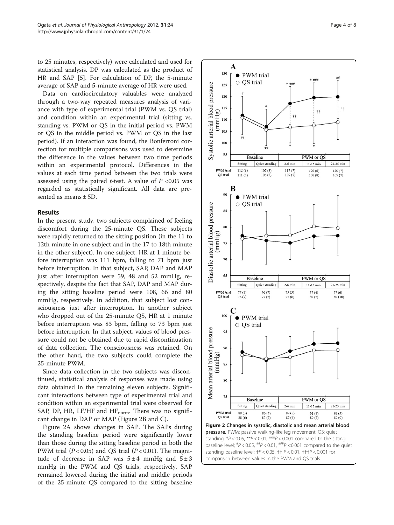to 25 minutes, respectively) were calculated and used for statistical analysis. DP was calculated as the product of HR and SAP [[5\]](#page-7-0). For calculation of DP, the 5-minute average of SAP and 5-minute average of HR were used.

Data on cardiocirculatory valuables were analyzed through a two-way repeated measures analysis of variance with type of experimental trial (PWM vs. QS trial) and condition within an experimental trial (sitting vs. standing vs. PWM or QS in the initial period vs. PWM or QS in the middle period vs. PWM or QS in the last period). If an interaction was found, the Bonferroni correction for multiple comparisons was used to determine the difference in the values between two time periods within an experimental protocol. Differences in the values at each time period between the two trials were assessed using the paired *t*-test. A value of  $P < 0.05$  was regarded as statistically significant. All data are presented as means ± SD.

#### Results

In the present study, two subjects complained of feeling discomfort during the 25-minute QS. These subjects were rapidly returned to the sitting position (in the 11 to 12th minute in one subject and in the 17 to 18th minute in the other subject). In one subject, HR at 1 minute before interruption was 111 bpm, falling to 71 bpm just before interruption. In that subject, SAP, DAP and MAP just after interruption were 59, 48 and 52 mmHg, respectively, despite the fact that SAP, DAP and MAP during the sitting baseline period were 108, 66 and 80 mmHg, respectively. In addition, that subject lost consciousness just after interruption. In another subject who dropped out of the 25-minute QS, HR at 1 minute before interruption was 83 bpm, falling to 73 bpm just before interruption. In that subject, values of blood pressure could not be obtained due to rapid discontinuation of data collection. The consciousness was retained. On the other hand, the two subjects could complete the 25-minute PWM.

Since data collection in the two subjects was discontinued, statistical analysis of responses was made using data obtained in the remaining eleven subjects. Significant interactions between type of experimental trial and condition within an experimental trial were observed for SAP, DP, HR, LF/HF and  $HF_{norm}$ . There was no significant change in DAP or MAP (Figure 2B and C).

Figure 2A shows changes in SAP. The SAPs during the standing baseline period were significantly lower than those during the sitting baseline period in both the PWM trial ( $P < 0.05$ ) and QS trial ( $P < 0.01$ ). The magnitude of decrease in SAP was  $5 \pm 4$  mmHg and  $5 \pm 3$ mmHg in the PWM and QS trials, respectively. SAP remained lowered during the initial and middle periods of the 25-minute QS compared to the sitting baseline

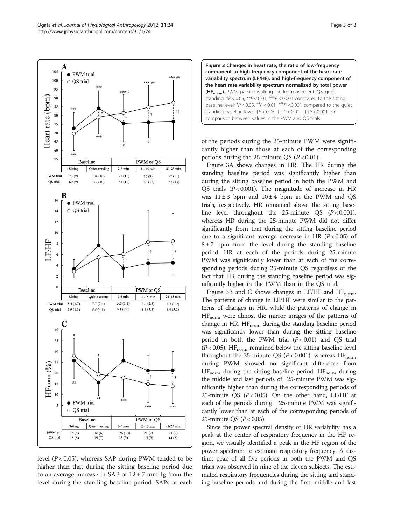

<span id="page-4-0"></span>

level  $(P < 0.05)$ , whereas SAP during PWM tended to be higher than that during the sitting baseline period due to an average increase in SAP of  $12 \pm 7$  mmHg from the level during the standing baseline period. SAPs at each



of the periods during the 25-minute PWM were significantly higher than those at each of the corresponding periods during the 25-minute OS  $(P < 0.01)$ .

Figure 3A shows changes in HR. The HR during the standing baseline period was significantly higher than during the sitting baseline period in both the PWM and OS trials  $(P < 0.001)$ . The magnitude of increase in HR was  $11 \pm 3$  bpm and  $10 \pm 4$  bpm in the PWM and QS trials, respectively. HR remained above the sitting baseline level throughout the 25-minute QS  $(P < 0.001)$ , whereas HR during the 25-minute PWM did not differ significantly from that during the sitting baseline period due to a significant average decrease in HR  $(P< 0.05)$  of  $8 \pm 7$  bpm from the level during the standing baseline period. HR at each of the periods during 25-minute PWM was significantly lower than at each of the corresponding periods during 25-minute QS regardless of the fact that HR during the standing baseline period was significantly higher in the PWM than in the QS trial.

Figure 3B and C shows changes in LF/HF and  $HF_{norm}$ . The patterns of change in LF/HF were similar to the patterns of changes in HR, while the patterns of change in HFnorm were almost the mirror images of the patterns of change in HR. HF<sub>norm</sub> during the standing baseline period was significantly lower than during the sitting baseline period in both the PWM trial  $(P < 0.01)$  and OS trial  $(P<0.05)$ . HF<sub>norm</sub> remained below the sitting baseline level throughout the 25-minute QS ( $P < 0.001$ ), whereas HF<sub>norm</sub> during PWM showed no significant difference from  $HF_{norm}$  during the sitting baseline period.  $HF_{norm}$  during the middle and last periods of 25-minute PWM was significantly higher than during the corresponding periods of 25-minute QS ( $P < 0.05$ ). On the other hand, LF/HF at each of the periods during 25-minute PWM was significantly lower than at each of the corresponding periods of 25-minute QS ( $P < 0.05$ ).

Since the power spectral density of HR variability has a peak at the center of respiratory frequency in the HF region, we visually identified a peak in the HF region of the power spectrum to estimate respiratory frequency. A distinct peak of all five periods in both the PWM and QS trials was observed in nine of the eleven subjects. The estimated respiratory frequencies during the sitting and standing baseline periods and during the first, middle and last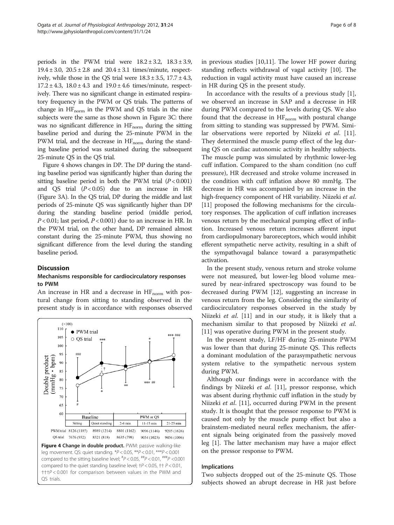periods in the PWM trial were  $18.2 \pm 3.2$ ,  $18.3 \pm 3.9$ ,  $19.4 \pm 3.0$ ,  $20.5 \pm 2.8$  and  $20.4 \pm 3.1$  times/minute, respectively, while those in the QS trial were  $18.3 \pm 3.5$ ,  $17.7 \pm 4.3$ ,  $17.2 \pm 4.3$ ,  $18.0 \pm 4.3$  and  $19.0 \pm 4.6$  times/minute, respectively. There was no significant change in estimated respiratory frequency in the PWM or QS trials. The patterns of change in  $HF_{norm}$  in the PWM and QS trials in the nine subjects were the same as those shown in Figure [3C](#page-4-0): there was no significant difference in  $HF_{norm}$  during the sitting baseline period and during the 25-minute PWM in the PWM trial, and the decrease in  $HF_{norm}$  during the standing baseline period was sustained during the subsequent 25-minute QS in the QS trial.

Figure 4 shows changes in DP. The DP during the standing baseline period was significantly higher than during the sitting baseline period in both the PWM trial  $(P < 0.001)$ and OS trial  $(P < 0.05)$  due to an increase in HR (Figure [3](#page-4-0)A). In the QS trial, DP during the middle and last periods of 25-minute QS was significantly higher than DP during the standing baseline period (middle period,  $P < 0.01$ ; last period,  $P < 0.001$ ) due to an increase in HR. In the PWM trial, on the other hand, DP remained almost constant during the 25-minute PWM, thus showing no significant difference from the level during the standing baseline period.

# **Discussion**

# Mechanisms responsible for cardiocirculatory responses to PWM

An increase in HR and a decrease in  $HF_{norm}$  with postural change from sitting to standing observed in the present study is in accordance with responses observed



in previous studies [[10,11](#page-7-0)]. The lower HF power during standing reflects withdrawal of vagal activity [[10\]](#page-7-0). The reduction in vagal activity must have caused an increase in HR during QS in the present study.

In accordance with the results of a previous study [\[1](#page-7-0)], we observed an increase in SAP and a decrease in HR during PWM compared to the levels during QS. We also found that the decrease in  $HF<sub>norm</sub>$  with postural change from sitting to standing was suppressed by PWM. Simi-lar observations were reported by Niizeki et al. [\[11](#page-7-0)]. They determined the muscle pump effect of the leg during QS on cardiac autonomic activity in healthy subjects. The muscle pump was simulated by rhythmic lower-leg cuff inflation. Compared to the sham condition (no cuff pressure), HR decreased and stroke volume increased in the condition with cuff inflation above 80 mmHg. The decrease in HR was accompanied by an increase in the high-frequency component of HR variability. Niizeki et al. [[11](#page-7-0)] proposed the following mechanisms for the circulatory responses. The application of cuff inflation increases venous return by the mechanical pumping effect of inflation. Increased venous return increases afferent input from cardiopulmonary baroreceptors, which would inhibit efferent sympathetic nerve activity, resulting in a shift of the sympathovagal balance toward a parasympathetic activation.

In the present study, venous return and stroke volume were not measured, but lower-leg blood volume measured by near-infrared spectroscopy was found to be decreased during PWM [\[12](#page-7-0)], suggesting an increase in venous return from the leg. Considering the similarity of cardiocirculatory responses observed in the study by Niizeki et al. [\[11](#page-7-0)] and in our study, it is likely that a mechanism similar to that proposed by Niizeki et al. [[11\]](#page-7-0) was operative during PWM in the present study.

In the present study, LF/HF during 25-minute PWM was lower than that during 25-minute QS. This reflects a dominant modulation of the parasympathetic nervous system relative to the sympathetic nervous system during PWM.

Although our findings were in accordance with the findings by Niizeki et al. [\[11\]](#page-7-0), pressor response, which was absent during rhythmic cuff inflation in the study by Niizeki et al. [\[11](#page-7-0)], occurred during PWM in the present study. It is thought that the pressor response to PWM is caused not only by the muscle pump effect but also a brainstem-mediated neural reflex mechanism, the afferent signals being originated from the passively moved leg [[1\]](#page-7-0). The latter mechanism may have a major effect on the pressor response to PWM.

#### Implications

Two subjects dropped out of the 25-minute QS. Those subjects showed an abrupt decrease in HR just before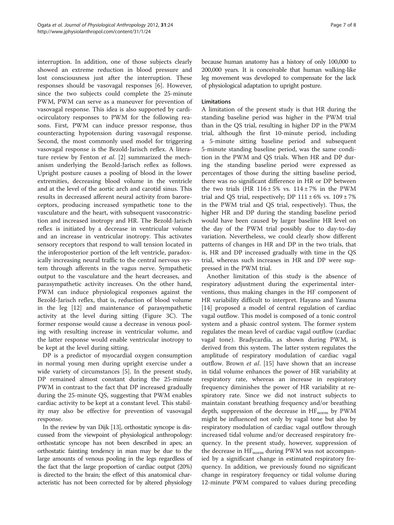interruption. In addition, one of those subjects clearly showed an extreme reduction in blood pressure and lost consciousness just after the interruption. These responses should be vasovagal responses [[6\]](#page-7-0). However, since the two subjects could complete the 25-minute PWM, PWM can serve as a maneuver for prevention of vasovagal response. This idea is also supported by cardiocirculatory responses to PWM for the following reasons. First, PWM can induce pressor response, thus counteracting hypotension during vasovagal response. Second, the most commonly used model for triggering vasovagal response is the Bezold-Jarisch reflex. A literature review by Fenton et al. [[2\]](#page-7-0) summarized the mechanism underlying the Bezold-Jarisch reflex as follows. Upright posture causes a pooling of blood in the lower extremities, decreasing blood volume in the ventricle and at the level of the aortic arch and carotid sinus. This results in decreased afferent neural activity from baroreceptors, producing increased sympathetic tone to the vasculature and the heart, with subsequent vasoconstriction and increased inotropy and HR. The Bezold-Jarisch reflex is initiated by a decrease in ventricular volume and an increase in ventricular inotropy. This activates sensory receptors that respond to wall tension located in the inferoposterior portion of the left ventricle, paradoxically increasing neural traffic to the central nervous system through afferents in the vagus nerve. Sympathetic output to the vasculature and the heart decreases, and parasympathetic activity increases. On the other hand, PWM can induce physiological responses against the Bezold-Jarisch reflex, that is, reduction of blood volume in the leg [[12\]](#page-7-0) and maintenance of parasympathetic activity at the level during sitting (Figure [3C](#page-4-0)). The former response would cause a decrease in venous pooling with resulting increase in ventricular volume, and the latter response would enable ventricular inotropy to be kept at the level during sitting.

DP is a predictor of myocardial oxygen consumption in normal young men during upright exercise under a wide variety of circumstances [\[5](#page-7-0)]. In the present study, DP remained almost constant during the 25-minute PWM in contrast to the fact that DP increased gradually during the 25-minute QS, suggesting that PWM enables cardiac activity to be kept at a constant level. This stability may also be effective for prevention of vasovagal response.

In the review by van Dijk [[13](#page-7-0)], orthostatic syncope is discussed from the viewpoint of physiological anthropology: orthostatic syncope has not been described in apes; an orthostatic fainting tendency in man may be due to the large amounts of venous pooling in the legs regardless of the fact that the large proportion of cardiac output (20%) is directed to the brain; the effect of this anatomical characteristic has not been corrected for by altered physiology

because human anatomy has a history of only 100,000 to 200,000 years. It is conceivable that human walking-like leg movement was developed to compensate for the lack of physiological adaptation to upright posture.

# Limitations

A limitation of the present study is that HR during the standing baseline period was higher in the PWM trial than in the QS trial, resulting in higher DP in the PWM trial, although the first 10-minute period, including a 5-minute sitting baseline period and subsequent 5-minute standing baseline period, was the same condition in the PWM and QS trials. When HR and DP during the standing baseline period were expressed as percentages of those during the sitting baseline period, there was no significant difference in HR or DP between the two trials (HR  $116 \pm 5\%$  vs.  $114 \pm 7\%$  in the PWM trial and QS trial, respectively; DP  $111 \pm 6\%$  vs.  $109 \pm 7\%$ in the PWM trial and QS trial, respectively). Thus, the higher HR and DP during the standing baseline period would have been caused by larger baseline HR level on the day of the PWM trial possibly due to day-to-day variation. Nevertheless, we could clearly show different patterns of changes in HR and DP in the two trials, that is, HR and DP increased gradually with time in the QS trial, whereas such increases in HR and DP were suppressed in the PWM trial.

Another limitation of this study is the absence of respiratory adjustment during the experimental interventions, thus making changes in the HF component of HR variability difficult to interpret. Hayano and Yasuma [[14\]](#page-7-0) proposed a model of central regulation of cardiac vagal outflow. This model is composed of a tonic control system and a phasic control system. The former system regulates the mean level of cardiac vagal outflow (cardiac vagal tone). Bradycardia, as shown during PWM, is derived from this system. The latter system regulates the amplitude of respiratory modulation of cardiac vagal outflow. Brown *et al.* [\[15](#page-7-0)] have shown that an increase in tidal volume enhances the power of HR variability at respiratory rate, whereas an increase in respiratory frequency diminishes the power of HR variability at respiratory rate. Since we did not instruct subjects to maintain constant breathing frequency and/or breathing depth, suppression of the decrease in  $HF_{norm}$  by PWM might be influenced not only by vagal tone but also by respiratory modulation of cardiac vagal outflow through increased tidal volume and/or decreased respiratory frequency. In the present study, however, suppression of the decrease in  $HF_{norm}$  during PWM was not accompanied by a significant change in estimated respiratory frequency. In addition, we previously found no significant change in respiratory frequency or tidal volume during 12-minute PWM compared to values during preceding